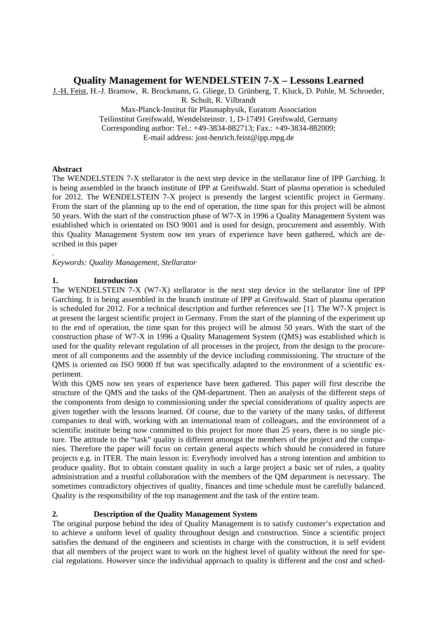# **Quality Management for WENDELSTEIN 7-X – Lessons Learned**

J.-H. Feist, H.-J. Bramow, R. Brockmann, G. Gliege, D. Grünberg, T. Kluck, D. Pohle, M. Schroeder, R. Schult, R. Vilbrandt

> Max-Planck-Institut für Plasmaphysik, Euratom Association Teilinstitut Greifswald, Wendelsteinstr. 1, D-17491 Greifswald, Germany Corresponding author: Tel.: +49-3834-882713; Fax.: +49-3834-882009; E-mail address: jost-henrich.feist@ipp.mpg.de

### **Abstract**

.

The WENDELSTEIN 7-X stellarator is the next step device in the stellarator line of IPP Garching. It is being assembled in the branch institute of IPP at Greifswald. Start of plasma operation is scheduled for 2012. The WENDELSTEIN 7-X project is presently the largest scientific project in Germany. From the start of the planning up to the end of operation, the time span for this project will be almost 50 years. With the start of the construction phase of W7-X in 1996 a Quality Management System was established which is orientated on ISO 9001 and is used for design, procurement and assembly. With this Quality Management System now ten years of experience have been gathered, which are described in this paper

*Keywords: Quality Management, Stellarator* 

## **1. Introduction**

The WENDELSTEIN 7-X (W7-X) stellarator is the next step device in the stellarator line of IPP Garching. It is being assembled in the branch institute of IPP at Greifswald. Start of plasma operation is scheduled for 2012. For a technical description and further references see [1]. The W7-X project is at present the largest scientific project in Germany. From the start of the planning of the experiment up to the end of operation, the time span for this project will be almost 50 years. With the start of the construction phase of W7-X in 1996 a Quality Management System (QMS) was established which is used for the quality relevant regulation of all processes in the project, from the design to the procurement of all components and the assembly of the device including commissioning. The structure of the QMS is oriented on ISO 9000 ff but was specifically adapted to the environment of a scientific experiment.

With this QMS now ten years of experience have been gathered. This paper will first describe the structure of the QMS and the tasks of the QM-department. Then an analysis of the different steps of the components from design to commissioning under the special considerations of quality aspects are given together with the lessons learned. Of course, due to the variety of the many tasks, of different companies to deal with, working with an international team of colleagues, and the environment of a scientific institute being now committed to this project for more than 25 years, there is no single picture. The attitude to the "task" quality is different amongst the members of the project and the companies. Therefore the paper will focus on certain general aspects which should be considered in future projects e.g. in ITER. The main lesson is: Everybody involved has a strong intention and ambition to produce quality. But to obtain constant quality in such a large project a basic set of rules, a quality administration and a trustful collaboration with the members of the QM department is necessary. The sometimes contradictory objectives of quality, finances and time schedule must be carefully balanced. Quality is the responsibility of the top management and the task of the entire team.

## **2. Description of the Quality Management System**

The original purpose behind the idea of Quality Management is to satisfy customer's expectation and to achieve a uniform level of quality throughout design and construction. Since a scientific project satisfies the demand of the engineers and scientists in charge with the construction, it is self evident that all members of the project want to work on the highest level of quality without the need for special regulations. However since the individual approach to quality is different and the cost and sched-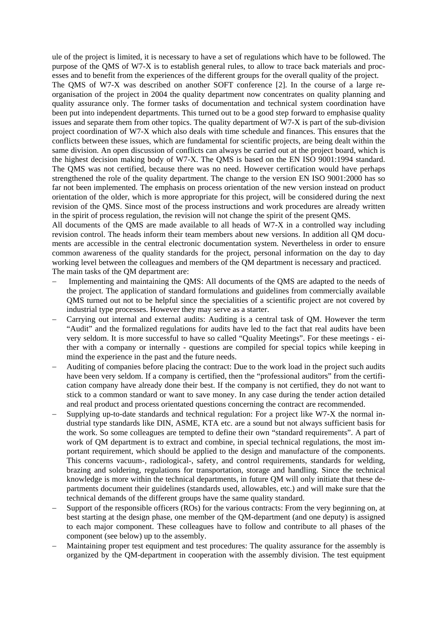ule of the project is limited, it is necessary to have a set of regulations which have to be followed. The purpose of the QMS of W7-X is to establish general rules, to allow to trace back materials and processes and to benefit from the experiences of the different groups for the overall quality of the project. The QMS of W7-X was described on another SOFT conference [2]. In the course of a large reorganisation of the project in 2004 the quality department now concentrates on quality planning and quality assurance only. The former tasks of documentation and technical system coordination have been put into independent departments. This turned out to be a good step forward to emphasise quality issues and separate them from other topics. The quality department of W7-X is part of the sub-division project coordination of W7-X which also deals with time schedule and finances. This ensures that the conflicts between these issues, which are fundamental for scientific projects, are being dealt within the same division. An open discussion of conflicts can always be carried out at the project board, which is the highest decision making body of W7-X. The QMS is based on the EN ISO 9001:1994 standard. The QMS was not certified, because there was no need. However certification would have perhaps strengthened the role of the quality department. The change to the version EN ISO 9001:2000 has so far not been implemented. The emphasis on process orientation of the new version instead on product orientation of the older, which is more appropriate for this project, will be considered during the next revision of the QMS. Since most of the process instructions and work procedures are already written in the spirit of process regulation, the revision will not change the spirit of the present QMS.

All documents of the QMS are made available to all heads of W7-X in a controlled way including revision control. The heads inform their team members about new versions. In addition all QM documents are accessible in the central electronic documentation system. Nevertheless in order to ensure common awareness of the quality standards for the project, personal information on the day to day working level between the colleagues and members of the QM department is necessary and practiced. The main tasks of the QM department are:

- Implementing and maintaining the QMS: All documents of the QMS are adapted to the needs of the project. The application of standard formulations and guidelines from commercially available QMS turned out not to be helpful since the specialities of a scientific project are not covered by industrial type processes. However they may serve as a starter.
- − Carrying out internal and external audits: Auditing is a central task of QM. However the term "Audit" and the formalized regulations for audits have led to the fact that real audits have been very seldom. It is more successful to have so called "Quality Meetings". For these meetings - either with a company or internally - questions are compiled for special topics while keeping in mind the experience in the past and the future needs.
- − Auditing of companies before placing the contract: Due to the work load in the project such audits have been very seldom. If a company is certified, then the "professional auditors" from the certification company have already done their best. If the company is not certified, they do not want to stick to a common standard or want to save money. In any case during the tender action detailed and real product and process orientated questions concerning the contract are recommended.
- Supplying up-to-date standards and technical regulation: For a project like W7-X the normal industrial type standards like DIN, ASME, KTA etc. are a sound but not always sufficient basis for the work. So some colleagues are tempted to define their own "standard requirements". A part of work of QM department is to extract and combine, in special technical regulations, the most important requirement, which should be applied to the design and manufacture of the components. This concerns vacuum-, radiological-, safety, and control requirements, standards for welding, brazing and soldering, regulations for transportation, storage and handling. Since the technical knowledge is more within the technical departments, in future QM will only initiate that these departments document their guidelines (standards used, allowables, etc.) and will make sure that the technical demands of the different groups have the same quality standard.
- Support of the responsible officers (ROs) for the various contracts: From the very beginning on, at best starting at the design phase, one member of the QM-department (and one deputy) is assigned to each major component. These colleagues have to follow and contribute to all phases of the component (see below) up to the assembly.
- Maintaining proper test equipment and test procedures: The quality assurance for the assembly is organized by the QM-department in cooperation with the assembly division. The test equipment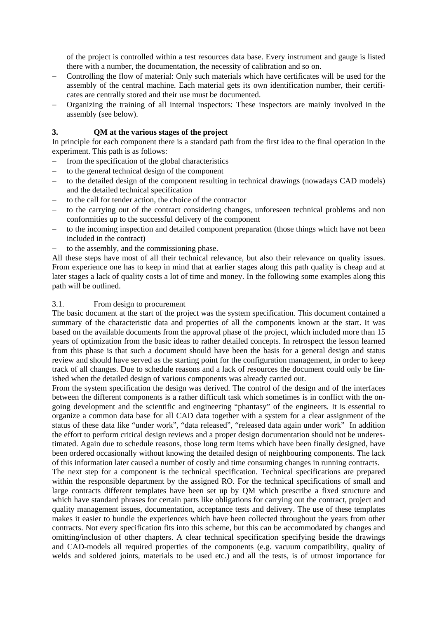of the project is controlled within a test resources data base. Every instrument and gauge is listed there with a number, the documentation, the necessity of calibration and so on.

- − Controlling the flow of material: Only such materials which have certificates will be used for the assembly of the central machine. Each material gets its own identification number, their certificates are centrally stored and their use must be documented.
- − Organizing the training of all internal inspectors: These inspectors are mainly involved in the assembly (see below).

## **3. QM at the various stages of the project**

In principle for each component there is a standard path from the first idea to the final operation in the experiment. This path is as follows:

- from the specification of the global characteristics
- to the general technical design of the component
- to the detailed design of the component resulting in technical drawings (nowadays CAD models) and the detailed technical specification
- to the call for tender action, the choice of the contractor
- to the carrying out of the contract considering changes, unforeseen technical problems and non conformities up to the successful delivery of the component
- to the incoming inspection and detailed component preparation (those things which have not been included in the contract)
- to the assembly, and the commissioning phase.

All these steps have most of all their technical relevance, but also their relevance on quality issues. From experience one has to keep in mind that at earlier stages along this path quality is cheap and at later stages a lack of quality costs a lot of time and money. In the following some examples along this path will be outlined.

### 3.1. From design to procurement

The basic document at the start of the project was the system specification. This document contained a summary of the characteristic data and properties of all the components known at the start. It was based on the available documents from the approval phase of the project, which included more than 15 years of optimization from the basic ideas to rather detailed concepts. In retrospect the lesson learned from this phase is that such a document should have been the basis for a general design and status review and should have served as the starting point for the configuration management, in order to keep track of all changes. Due to schedule reasons and a lack of resources the document could only be finished when the detailed design of various components was already carried out.

From the system specification the design was derived. The control of the design and of the interfaces between the different components is a rather difficult task which sometimes is in conflict with the ongoing development and the scientific and engineering "phantasy" of the engineers. It is essential to organize a common data base for all CAD data together with a system for a clear assignment of the status of these data like "under work", "data released", "released data again under work" In addition the effort to perform critical design reviews and a proper design documentation should not be underestimated. Again due to schedule reasons, those long term items which have been finally designed, have been ordered occasionally without knowing the detailed design of neighbouring components. The lack of this information later caused a number of costly and time consuming changes in running contracts.

The next step for a component is the technical specification. Technical specifications are prepared within the responsible department by the assigned RO. For the technical specifications of small and large contracts different templates have been set up by QM which prescribe a fixed structure and which have standard phrases for certain parts like obligations for carrying out the contract, project and quality management issues, documentation, acceptance tests and delivery. The use of these templates makes it easier to bundle the experiences which have been collected throughout the years from other contracts. Not every specification fits into this scheme, but this can be accommodated by changes and omitting/inclusion of other chapters. A clear technical specification specifying beside the drawings and CAD-models all required properties of the components (e.g. vacuum compatibility, quality of welds and soldered joints, materials to be used etc.) and all the tests, is of utmost importance for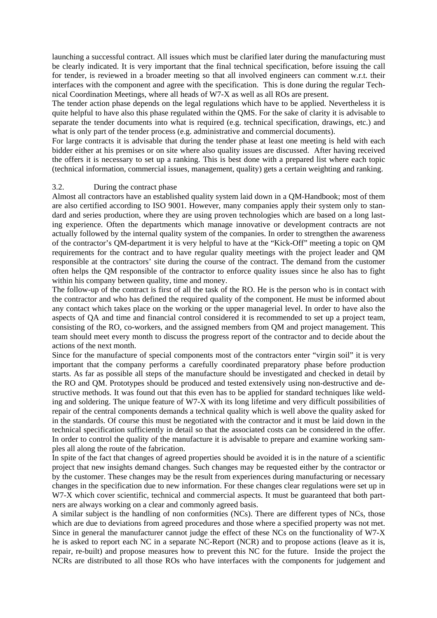launching a successful contract. All issues which must be clarified later during the manufacturing must be clearly indicated. It is very important that the final technical specification, before issuing the call for tender, is reviewed in a broader meeting so that all involved engineers can comment w.r.t. their interfaces with the component and agree with the specification. This is done during the regular Technical Coordination Meetings, where all heads of W7-X as well as all ROs are present.

The tender action phase depends on the legal regulations which have to be applied. Nevertheless it is quite helpful to have also this phase regulated within the OMS. For the sake of clarity it is advisable to separate the tender documents into what is required (e.g. technical specification, drawings, etc.) and what is only part of the tender process (e.g. administrative and commercial documents).

For large contracts it is advisable that during the tender phase at least one meeting is held with each bidder either at his premises or on site where also quality issues are discussed. After having received the offers it is necessary to set up a ranking. This is best done with a prepared list where each topic (technical information, commercial issues, management, quality) gets a certain weighting and ranking.

#### 3.2. During the contract phase

Almost all contractors have an established quality system laid down in a QM-Handbook; most of them are also certified according to ISO 9001. However, many companies apply their system only to standard and series production, where they are using proven technologies which are based on a long lasting experience. Often the departments which manage innovative or development contracts are not actually followed by the internal quality system of the companies. In order to strengthen the awareness of the contractor's QM-department it is very helpful to have at the "Kick-Off" meeting a topic on QM requirements for the contract and to have regular quality meetings with the project leader and QM responsible at the contractors' site during the course of the contract. The demand from the customer often helps the QM responsible of the contractor to enforce quality issues since he also has to fight within his company between quality, time and money.

The follow-up of the contract is first of all the task of the RO. He is the person who is in contact with the contractor and who has defined the required quality of the component. He must be informed about any contact which takes place on the working or the upper managerial level. In order to have also the aspects of QA and time and financial control considered it is recommended to set up a project team, consisting of the RO, co-workers, and the assigned members from QM and project management. This team should meet every month to discuss the progress report of the contractor and to decide about the actions of the next month.

Since for the manufacture of special components most of the contractors enter "virgin soil" it is very important that the company performs a carefully coordinated preparatory phase before production starts. As far as possible all steps of the manufacture should be investigated and checked in detail by the RO and QM. Prototypes should be produced and tested extensively using non-destructive and destructive methods. It was found out that this even has to be applied for standard techniques like welding and soldering. The unique feature of W7-X with its long lifetime and very difficult possibilities of repair of the central components demands a technical quality which is well above the quality asked for in the standards. Of course this must be negotiated with the contractor and it must be laid down in the technical specification sufficiently in detail so that the associated costs can be considered in the offer. In order to control the quality of the manufacture it is advisable to prepare and examine working samples all along the route of the fabrication.

In spite of the fact that changes of agreed properties should be avoided it is in the nature of a scientific project that new insights demand changes. Such changes may be requested either by the contractor or by the customer. These changes may be the result from experiences during manufacturing or necessary changes in the specification due to new information. For these changes clear regulations were set up in W7-X which cover scientific, technical and commercial aspects. It must be guaranteed that both partners are always working on a clear and commonly agreed basis.

A similar subject is the handling of non conformities (NCs). There are different types of NCs, those which are due to deviations from agreed procedures and those where a specified property was not met. Since in general the manufacturer cannot judge the effect of these NCs on the functionality of W7-X he is asked to report each NC in a separate NC-Report (NCR) and to propose actions (leave as it is, repair, re-built) and propose measures how to prevent this NC for the future. Inside the project the NCRs are distributed to all those ROs who have interfaces with the components for judgement and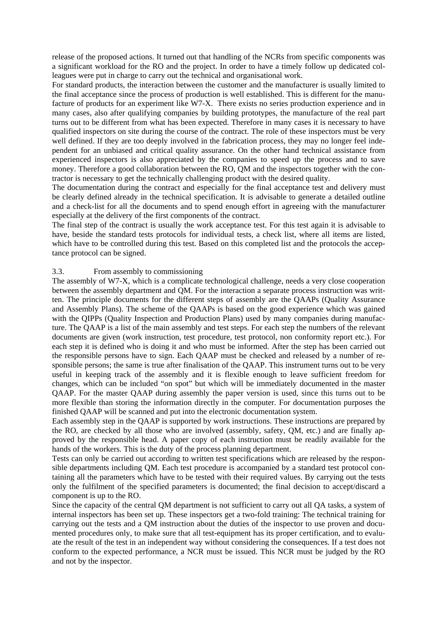release of the proposed actions. It turned out that handling of the NCRs from specific components was a significant workload for the RO and the project. In order to have a timely follow up dedicated colleagues were put in charge to carry out the technical and organisational work.

For standard products, the interaction between the customer and the manufacturer is usually limited to the final acceptance since the process of production is well established. This is different for the manufacture of products for an experiment like W7-X. There exists no series production experience and in many cases, also after qualifying companies by building prototypes, the manufacture of the real part turns out to be different from what has been expected. Therefore in many cases it is necessary to have qualified inspectors on site during the course of the contract. The role of these inspectors must be very well defined. If they are too deeply involved in the fabrication process, they may no longer feel independent for an unbiased and critical quality assurance. On the other hand technical assistance from experienced inspectors is also appreciated by the companies to speed up the process and to save money. Therefore a good collaboration between the RO, QM and the inspectors together with the contractor is necessary to get the technically challenging product with the desired quality.

The documentation during the contract and especially for the final acceptance test and delivery must be clearly defined already in the technical specification. It is advisable to generate a detailed outline and a check-list for all the documents and to spend enough effort in agreeing with the manufacturer especially at the delivery of the first components of the contract.

The final step of the contract is usually the work acceptance test. For this test again it is advisable to have, beside the standard tests protocols for individual tests, a check list, where all items are listed, which have to be controlled during this test. Based on this completed list and the protocols the acceptance protocol can be signed.

### 3.3. From assembly to commissioning

The assembly of W7-X, which is a complicate technological challenge, needs a very close cooperation between the assembly department and QM. For the interaction a separate process instruction was written. The principle documents for the different steps of assembly are the QAAPs (Quality Assurance and Assembly Plans). The scheme of the QAAPs is based on the good experience which was gained with the OIPPs (Quality Inspection and Production Plans) used by many companies during manufacture. The QAAP is a list of the main assembly and test steps. For each step the numbers of the relevant documents are given (work instruction, test procedure, test protocol, non conformity report etc.). For each step it is defined who is doing it and who must be informed. After the step has been carried out the responsible persons have to sign. Each QAAP must be checked and released by a number of responsible persons; the same is true after finalisation of the QAAP. This instrument turns out to be very useful in keeping track of the assembly and it is flexible enough to leave sufficient freedom for changes, which can be included "on spot" but which will be immediately documented in the master QAAP. For the master QAAP during assembly the paper version is used, since this turns out to be more flexible than storing the information directly in the computer. For documentation purposes the finished QAAP will be scanned and put into the electronic documentation system.

Each assembly step in the QAAP is supported by work instructions. These instructions are prepared by the RO, are checked by all those who are involved (assembly, safety, QM, etc.) and are finally approved by the responsible head. A paper copy of each instruction must be readily available for the hands of the workers. This is the duty of the process planning department.

Tests can only be carried out according to written test specifications which are released by the responsible departments including QM. Each test procedure is accompanied by a standard test protocol containing all the parameters which have to be tested with their required values. By carrying out the tests only the fulfilment of the specified parameters is documented; the final decision to accept/discard a component is up to the RO.

Since the capacity of the central QM department is not sufficient to carry out all QA tasks, a system of internal inspectors has been set up. These inspectors get a two-fold training: The technical training for carrying out the tests and a QM instruction about the duties of the inspector to use proven and documented procedures only, to make sure that all test-equipment has its proper certification, and to evaluate the result of the test in an independent way without considering the consequences. If a test does not conform to the expected performance, a NCR must be issued. This NCR must be judged by the RO and not by the inspector.